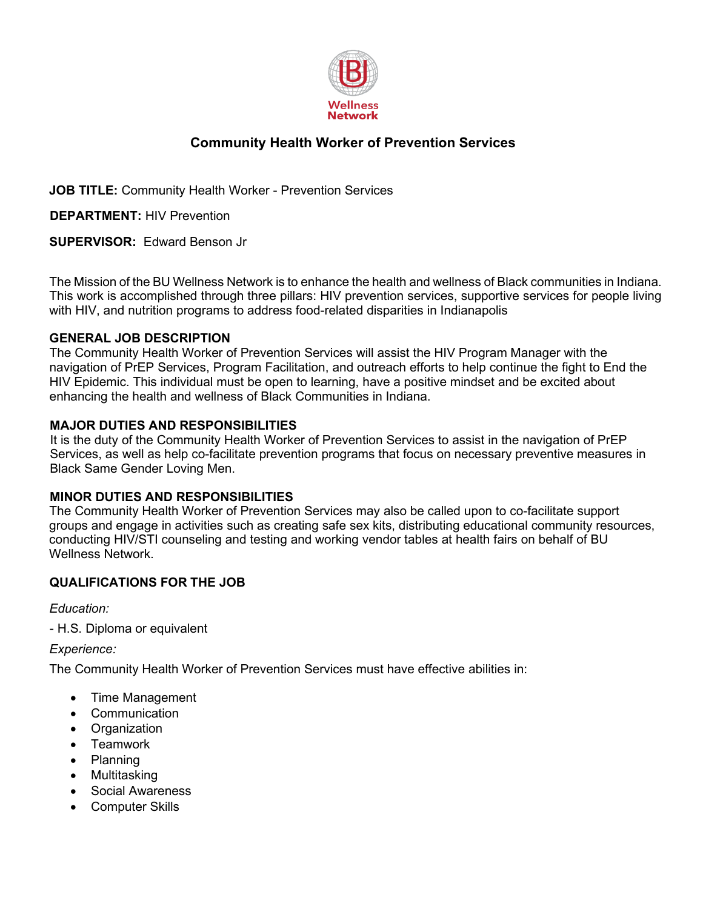

# **Community Health Worker of Prevention Services**

**JOB TITLE:** Community Health Worker - Prevention Services

**DEPARTMENT:** HIV Prevention

**SUPERVISOR:** Edward Benson Jr

The Mission of the BU Wellness Network is to enhance the health and wellness of Black communities in Indiana. This work is accomplished through three pillars: HIV prevention services, supportive services for people living with HIV, and nutrition programs to address food-related disparities in Indianapolis

#### **GENERAL JOB DESCRIPTION**

The Community Health Worker of Prevention Services will assist the HIV Program Manager with the navigation of PrEP Services, Program Facilitation, and outreach efforts to help continue the fight to End the HIV Epidemic. This individual must be open to learning, have a positive mindset and be excited about enhancing the health and wellness of Black Communities in Indiana.

#### **MAJOR DUTIES AND RESPONSIBILITIES**

It is the duty of the Community Health Worker of Prevention Services to assist in the navigation of PrEP Services, as well as help co-facilitate prevention programs that focus on necessary preventive measures in Black Same Gender Loving Men.

#### **MINOR DUTIES AND RESPONSIBILITIES**

The Community Health Worker of Prevention Services may also be called upon to co-facilitate support groups and engage in activities such as creating safe sex kits, distributing educational community resources, conducting HIV/STI counseling and testing and working vendor tables at health fairs on behalf of BU Wellness Network.

### **QUALIFICATIONS FOR THE JOB**

*Education:*

- H.S. Diploma or equivalent

*Experience:*

The Community Health Worker of Prevention Services must have effective abilities in:

- Time Management
- Communication
- Organization
- Teamwork
- Planning
- Multitasking
- Social Awareness
- Computer Skills